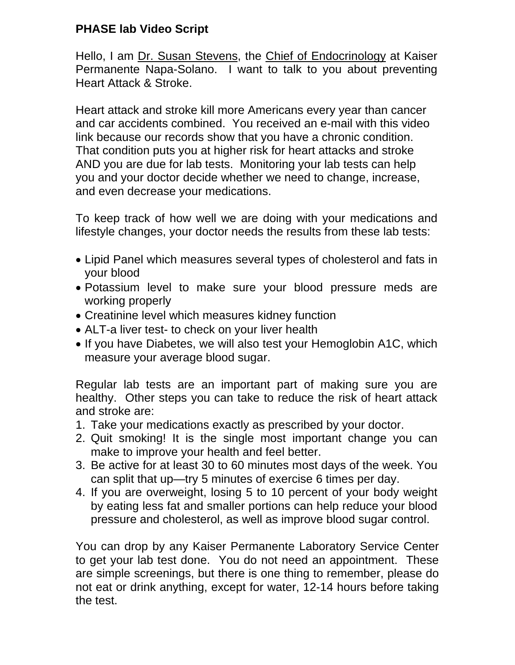## **PHASE lab Video Script**

Hello, I am Dr. Susan Stevens, the Chief of Endocrinology at Kaiser Permanente Napa-Solano. I want to talk to you about preventing Heart Attack & Stroke.

Heart attack and stroke kill more Americans every year than cancer and car accidents combined. You received an e-mail with this video link because our records show that you have a chronic condition. That condition puts you at higher risk for heart attacks and stroke AND you are due for lab tests. Monitoring your lab tests can help you and your doctor decide whether we need to change, increase, and even decrease your medications.

To keep track of how well we are doing with your medications and lifestyle changes, your doctor needs the results from these lab tests:

- Lipid Panel which measures several types of cholesterol and fats in your blood
- Potassium level to make sure your blood pressure meds are working properly
- Creatinine level which measures kidney function
- ALT-a liver test- to check on your liver health
- If you have Diabetes, we will also test your Hemoglobin A1C, which measure your average blood sugar.

Regular lab tests are an important part of making sure you are healthy. Other steps you can take to reduce the risk of heart attack and stroke are:

- 1. Take your medications exactly as prescribed by your doctor.
- 2. Quit smoking! It is the single most important change you can make to improve your health and feel better.
- 3. Be active for at least 30 to 60 minutes most days of the week. You can split that up—try 5 minutes of exercise 6 times per day.
- 4. If you are overweight, losing 5 to 10 percent of your body weight by eating less fat and smaller portions can help reduce your blood pressure and cholesterol, as well as improve blood sugar control.

You can drop by any Kaiser Permanente Laboratory Service Center to get your lab test done. You do not need an appointment. These are simple screenings, but there is one thing to remember, please do not eat or drink anything, except for water, 12-14 hours before taking the test.